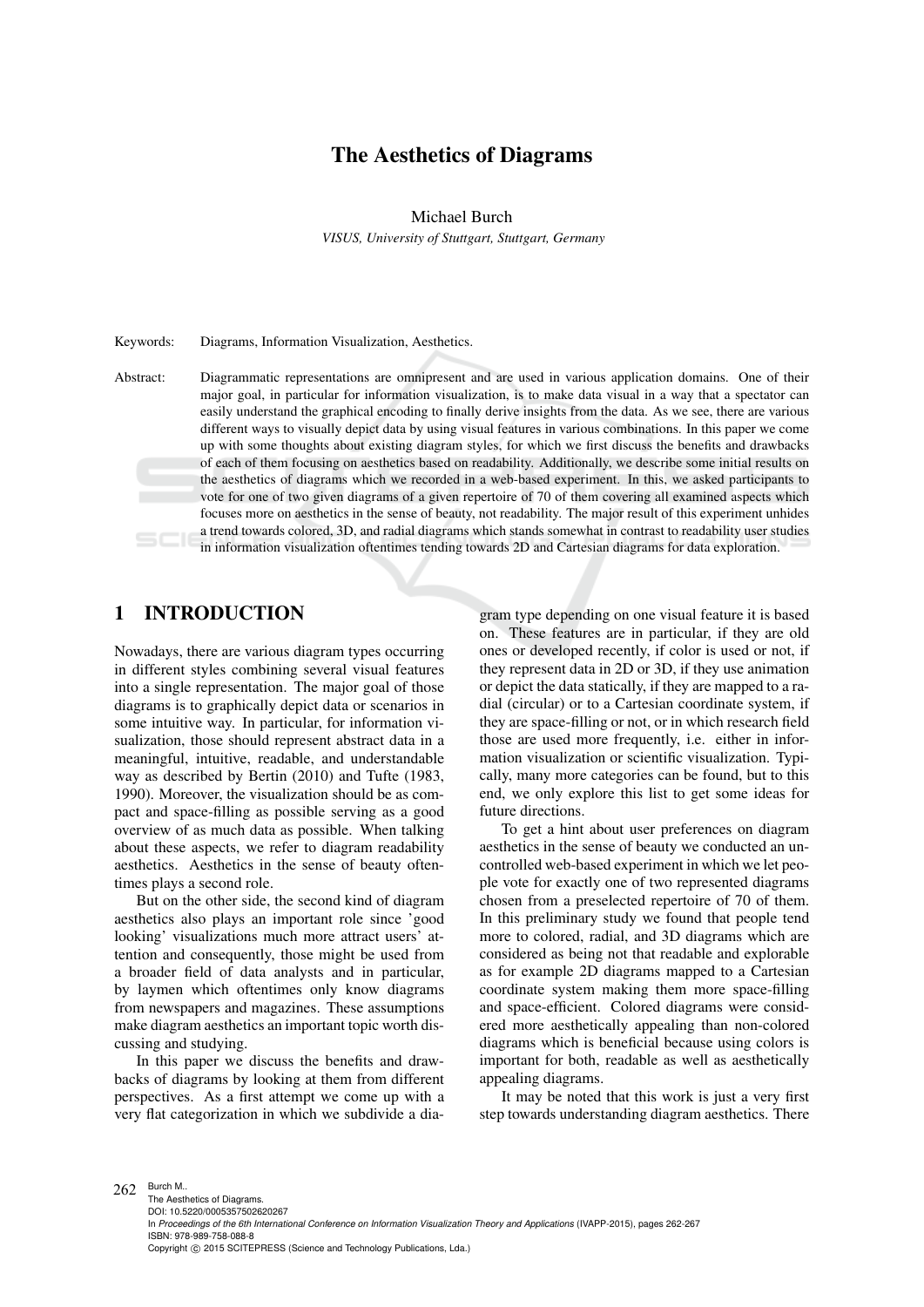# The Aesthetics of Diagrams

Michael Burch

*VISUS, University of Stuttgart, Stuttgart, Germany*

Keywords: Diagrams, Information Visualization, Aesthetics.

Abstract: Diagrammatic representations are omnipresent and are used in various application domains. One of their major goal, in particular for information visualization, is to make data visual in a way that a spectator can easily understand the graphical encoding to finally derive insights from the data. As we see, there are various different ways to visually depict data by using visual features in various combinations. In this paper we come up with some thoughts about existing diagram styles, for which we first discuss the benefits and drawbacks of each of them focusing on aesthetics based on readability. Additionally, we describe some initial results on the aesthetics of diagrams which we recorded in a web-based experiment. In this, we asked participants to vote for one of two given diagrams of a given repertoire of 70 of them covering all examined aspects which focuses more on aesthetics in the sense of beauty, not readability. The major result of this experiment unhides a trend towards colored, 3D, and radial diagrams which stands somewhat in contrast to readability user studies in information visualization oftentimes tending towards 2D and Cartesian diagrams for data exploration.

# 1 INTRODUCTION

Nowadays, there are various diagram types occurring in different styles combining several visual features into a single representation. The major goal of those diagrams is to graphically depict data or scenarios in some intuitive way. In particular, for information visualization, those should represent abstract data in a meaningful, intuitive, readable, and understandable way as described by Bertin (2010) and Tufte (1983, 1990). Moreover, the visualization should be as compact and space-filling as possible serving as a good overview of as much data as possible. When talking about these aspects, we refer to diagram readability aesthetics. Aesthetics in the sense of beauty oftentimes plays a second role.

But on the other side, the second kind of diagram aesthetics also plays an important role since 'good looking' visualizations much more attract users' attention and consequently, those might be used from a broader field of data analysts and in particular, by laymen which oftentimes only know diagrams from newspapers and magazines. These assumptions make diagram aesthetics an important topic worth discussing and studying.

In this paper we discuss the benefits and drawbacks of diagrams by looking at them from different perspectives. As a first attempt we come up with a very flat categorization in which we subdivide a dia-

gram type depending on one visual feature it is based on. These features are in particular, if they are old ones or developed recently, if color is used or not, if they represent data in 2D or 3D, if they use animation or depict the data statically, if they are mapped to a radial (circular) or to a Cartesian coordinate system, if they are space-filling or not, or in which research field those are used more frequently, i.e. either in information visualization or scientific visualization. Typically, many more categories can be found, but to this end, we only explore this list to get some ideas for future directions.

To get a hint about user preferences on diagram aesthetics in the sense of beauty we conducted an uncontrolled web-based experiment in which we let people vote for exactly one of two represented diagrams chosen from a preselected repertoire of 70 of them. In this preliminary study we found that people tend more to colored, radial, and 3D diagrams which are considered as being not that readable and explorable as for example 2D diagrams mapped to a Cartesian coordinate system making them more space-filling and space-efficient. Colored diagrams were considered more aesthetically appealing than non-colored diagrams which is beneficial because using colors is important for both, readable as well as aesthetically appealing diagrams.

It may be noted that this work is just a very first step towards understanding diagram aesthetics. There

Copyright © 2015 SCITEPRESS (Science and Technology Publications, Lda.)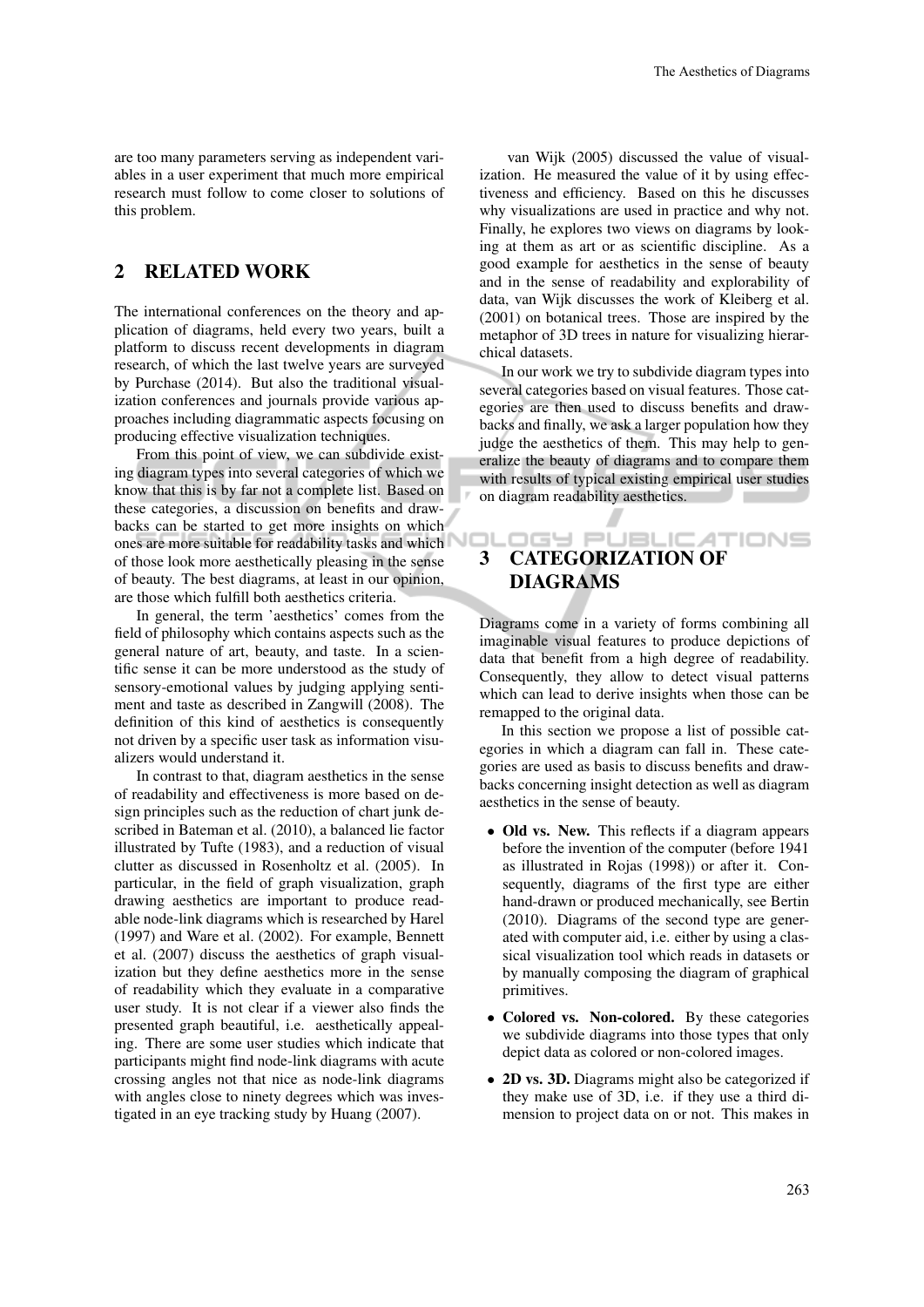are too many parameters serving as independent variables in a user experiment that much more empirical research must follow to come closer to solutions of this problem.

## 2 RELATED WORK

The international conferences on the theory and application of diagrams, held every two years, built a platform to discuss recent developments in diagram research, of which the last twelve years are surveyed by Purchase (2014). But also the traditional visualization conferences and journals provide various approaches including diagrammatic aspects focusing on producing effective visualization techniques.

From this point of view, we can subdivide existing diagram types into several categories of which we know that this is by far not a complete list. Based on these categories, a discussion on benefits and drawbacks can be started to get more insights on which ones are more suitable for readability tasks and which of those look more aesthetically pleasing in the sense of beauty. The best diagrams, at least in our opinion, are those which fulfill both aesthetics criteria.

In general, the term 'aesthetics' comes from the field of philosophy which contains aspects such as the general nature of art, beauty, and taste. In a scientific sense it can be more understood as the study of sensory-emotional values by judging applying sentiment and taste as described in Zangwill (2008). The definition of this kind of aesthetics is consequently not driven by a specific user task as information visualizers would understand it.

In contrast to that, diagram aesthetics in the sense of readability and effectiveness is more based on design principles such as the reduction of chart junk described in Bateman et al. (2010), a balanced lie factor illustrated by Tufte (1983), and a reduction of visual clutter as discussed in Rosenholtz et al. (2005). In particular, in the field of graph visualization, graph drawing aesthetics are important to produce readable node-link diagrams which is researched by Harel (1997) and Ware et al. (2002). For example, Bennett et al. (2007) discuss the aesthetics of graph visualization but they define aesthetics more in the sense of readability which they evaluate in a comparative user study. It is not clear if a viewer also finds the presented graph beautiful, i.e. aesthetically appealing. There are some user studies which indicate that participants might find node-link diagrams with acute crossing angles not that nice as node-link diagrams with angles close to ninety degrees which was investigated in an eye tracking study by Huang (2007).

van Wijk (2005) discussed the value of visualization. He measured the value of it by using effectiveness and efficiency. Based on this he discusses why visualizations are used in practice and why not. Finally, he explores two views on diagrams by looking at them as art or as scientific discipline. As a good example for aesthetics in the sense of beauty and in the sense of readability and explorability of data, van Wijk discusses the work of Kleiberg et al. (2001) on botanical trees. Those are inspired by the metaphor of 3D trees in nature for visualizing hierarchical datasets.

In our work we try to subdivide diagram types into several categories based on visual features. Those categories are then used to discuss benefits and drawbacks and finally, we ask a larger population how they judge the aesthetics of them. This may help to generalize the beauty of diagrams and to compare them with results of typical existing empirical user studies on diagram readability aesthetics.

#### ות פהנ **JBLICATIONS** 3 CATEGORIZATION OF DIAGRAMS

Diagrams come in a variety of forms combining all imaginable visual features to produce depictions of data that benefit from a high degree of readability. Consequently, they allow to detect visual patterns which can lead to derive insights when those can be remapped to the original data.

In this section we propose a list of possible categories in which a diagram can fall in. These categories are used as basis to discuss benefits and drawbacks concerning insight detection as well as diagram aesthetics in the sense of beauty.

- Old vs. New. This reflects if a diagram appears before the invention of the computer (before 1941 as illustrated in Rojas (1998)) or after it. Consequently, diagrams of the first type are either hand-drawn or produced mechanically, see Bertin (2010). Diagrams of the second type are generated with computer aid, i.e. either by using a classical visualization tool which reads in datasets or by manually composing the diagram of graphical primitives.
- Colored vs. Non-colored. By these categories we subdivide diagrams into those types that only depict data as colored or non-colored images.
- 2D vs. 3D. Diagrams might also be categorized if they make use of 3D, i.e. if they use a third dimension to project data on or not. This makes in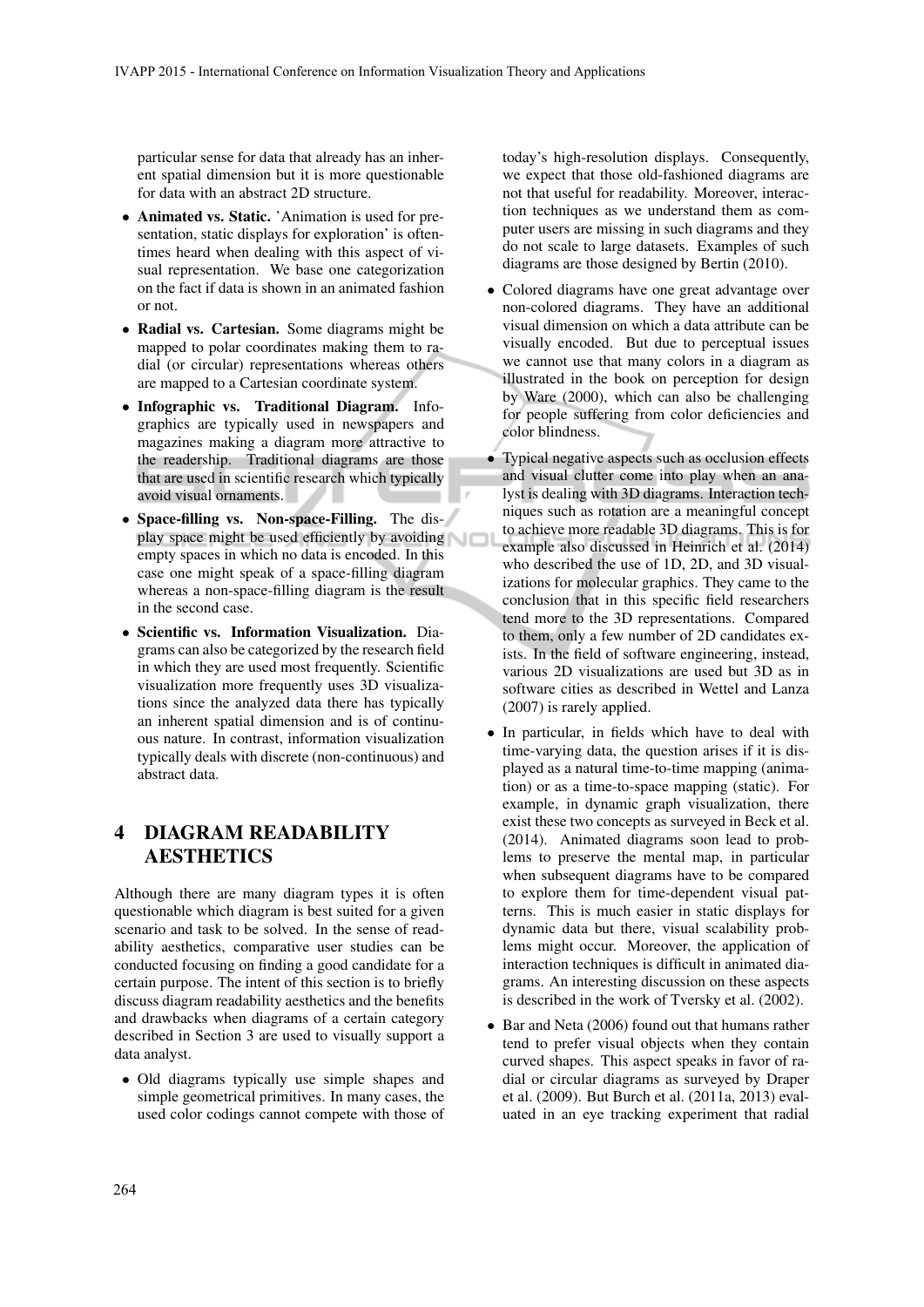particular sense for data that already has an inherent spatial dimension but it is more questionable for data with an abstract 2D structure.

- Animated vs. Static. 'Animation is used for presentation, static displays for exploration' is oftentimes heard when dealing with this aspect of visual representation. We base one categorization on the fact if data is shown in an animated fashion or not.
- Radial vs. Cartesian. Some diagrams might be mapped to polar coordinates making them to radial (or circular) representations whereas others are mapped to a Cartesian coordinate system.
- Infographic vs. Traditional Diagram. Infographics are typically used in newspapers and magazines making a diagram more attractive to the readership. Traditional diagrams are those that are used in scientific research which typically avoid visual ornaments.
- Space-filling vs. Non-space-Filling. The display space might be used efficiently by avoiding empty spaces in which no data is encoded. In this case one might speak of a space-filling diagram whereas a non-space-filling diagram is the result in the second case.
- Scientific vs. Information Visualization. Diagrams can also be categorized by the research field in which they are used most frequently. Scientific visualization more frequently uses 3D visualizations since the analyzed data there has typically an inherent spatial dimension and is of continuous nature. In contrast, information visualization typically deals with discrete (non-continuous) and abstract data.

# 4 DIAGRAM READABILITY **AESTHETICS**

Although there are many diagram types it is often questionable which diagram is best suited for a given scenario and task to be solved. In the sense of readability aesthetics, comparative user studies can be conducted focusing on finding a good candidate for a certain purpose. The intent of this section is to briefly discuss diagram readability aesthetics and the benefits and drawbacks when diagrams of a certain category described in Section 3 are used to visually support a data analyst.

• Old diagrams typically use simple shapes and simple geometrical primitives. In many cases, the used color codings cannot compete with those of today's high-resolution displays. Consequently, we expect that those old-fashioned diagrams are not that useful for readability. Moreover, interaction techniques as we understand them as computer users are missing in such diagrams and they do not scale to large datasets. Examples of such diagrams are those designed by Bertin (2010).

- Colored diagrams have one great advantage over non-colored diagrams. They have an additional visual dimension on which a data attribute can be visually encoded. But due to perceptual issues we cannot use that many colors in a diagram as illustrated in the book on perception for design by Ware (2000), which can also be challenging for people suffering from color deficiencies and color blindness.
- Typical negative aspects such as occlusion effects and visual clutter come into play when an analyst is dealing with 3D diagrams. Interaction techniques such as rotation are a meaningful concept to achieve more readable 3D diagrams. This is for example also discussed in Heinrich et al. (2014) who described the use of 1D, 2D, and 3D visualizations for molecular graphics. They came to the conclusion that in this specific field researchers tend more to the 3D representations. Compared to them, only a few number of 2D candidates exists. In the field of software engineering, instead, various 2D visualizations are used but 3D as in software cities as described in Wettel and Lanza (2007) is rarely applied.
- In particular, in fields which have to deal with time-varying data, the question arises if it is displayed as a natural time-to-time mapping (animation) or as a time-to-space mapping (static). For example, in dynamic graph visualization, there exist these two concepts as surveyed in Beck et al. (2014). Animated diagrams soon lead to problems to preserve the mental map, in particular when subsequent diagrams have to be compared to explore them for time-dependent visual patterns. This is much easier in static displays for dynamic data but there, visual scalability problems might occur. Moreover, the application of interaction techniques is difficult in animated diagrams. An interesting discussion on these aspects is described in the work of Tversky et al. (2002).
- Bar and Neta (2006) found out that humans rather tend to prefer visual objects when they contain curved shapes. This aspect speaks in favor of radial or circular diagrams as surveyed by Draper et al. (2009). But Burch et al. (2011a, 2013) evaluated in an eye tracking experiment that radial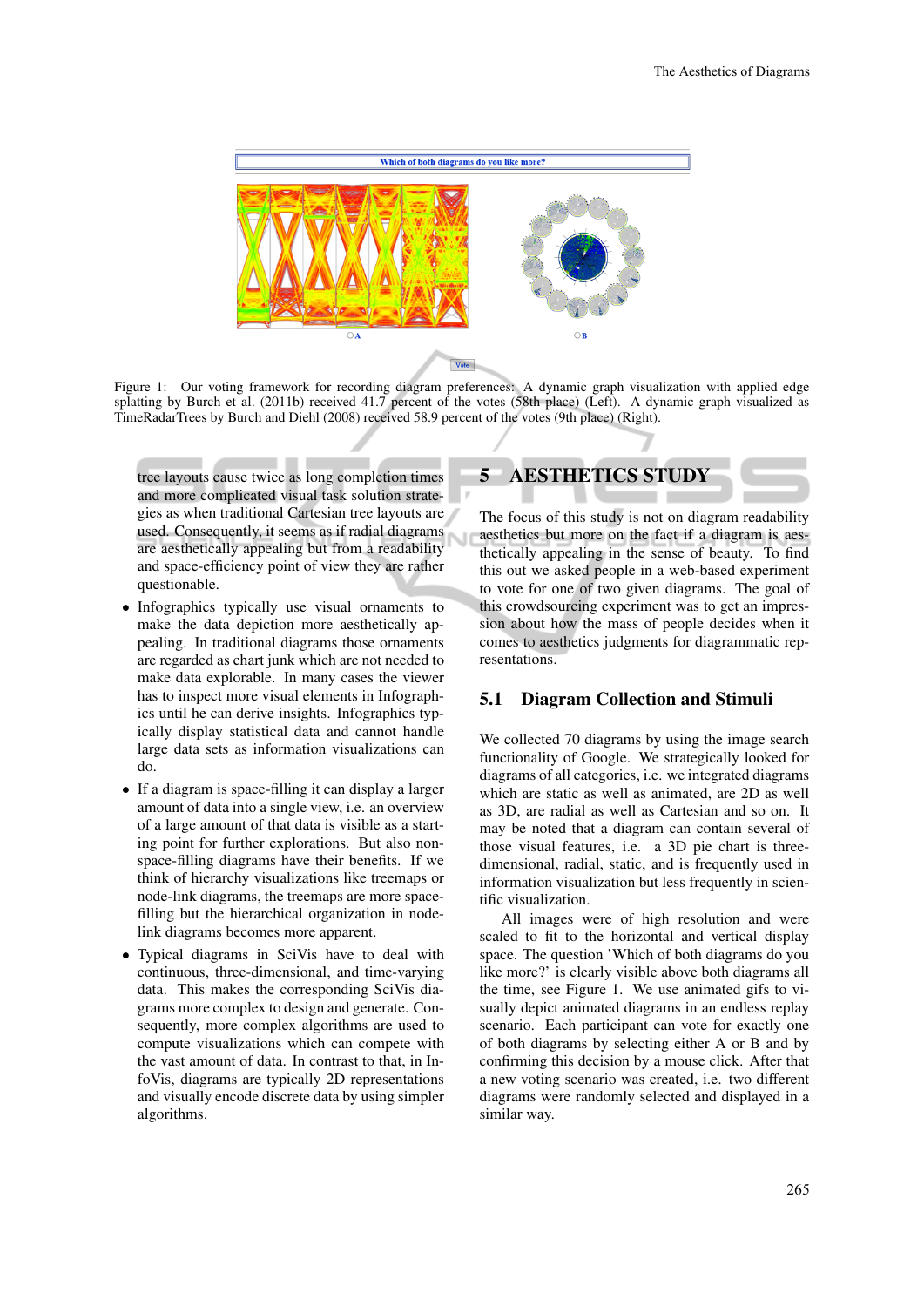

Figure 1: Our voting framework for recording diagram preferences: A dynamic graph visualization with applied edge splatting by Burch et al. (2011b) received 41.7 percent of the votes (58th place) (Left). A dynamic graph visualized as TimeRadarTrees by Burch and Diehl (2008) received 58.9 percent of the votes (9th place) (Right).

Ū

tree layouts cause twice as long completion times and more complicated visual task solution strategies as when traditional Cartesian tree layouts are used. Consequently, it seems as if radial diagrams are aesthetically appealing but from a readability and space-efficiency point of view they are rather questionable.

- Infographics typically use visual ornaments to make the data depiction more aesthetically appealing. In traditional diagrams those ornaments are regarded as chart junk which are not needed to make data explorable. In many cases the viewer has to inspect more visual elements in Infographics until he can derive insights. Infographics typically display statistical data and cannot handle large data sets as information visualizations can do.
- If a diagram is space-filling it can display a larger amount of data into a single view, i.e. an overview of a large amount of that data is visible as a starting point for further explorations. But also nonspace-filling diagrams have their benefits. If we think of hierarchy visualizations like treemaps or node-link diagrams, the treemaps are more spacefilling but the hierarchical organization in nodelink diagrams becomes more apparent.
- Typical diagrams in SciVis have to deal with continuous, three-dimensional, and time-varying data. This makes the corresponding SciVis diagrams more complex to design and generate. Consequently, more complex algorithms are used to compute visualizations which can compete with the vast amount of data. In contrast to that, in InfoVis, diagrams are typically 2D representations and visually encode discrete data by using simpler algorithms.

# 5 AESTHETICS STUDY

The focus of this study is not on diagram readability aesthetics but more on the fact if a diagram is aesthetically appealing in the sense of beauty. To find this out we asked people in a web-based experiment to vote for one of two given diagrams. The goal of this crowdsourcing experiment was to get an impression about how the mass of people decides when it comes to aesthetics judgments for diagrammatic representations.

#### 5.1 Diagram Collection and Stimuli

We collected 70 diagrams by using the image search functionality of Google. We strategically looked for diagrams of all categories, i.e. we integrated diagrams which are static as well as animated, are 2D as well as 3D, are radial as well as Cartesian and so on. It may be noted that a diagram can contain several of those visual features, i.e. a 3D pie chart is threedimensional, radial, static, and is frequently used in information visualization but less frequently in scientific visualization.

All images were of high resolution and were scaled to fit to the horizontal and vertical display space. The question 'Which of both diagrams do you like more?' is clearly visible above both diagrams all the time, see Figure 1. We use animated gifs to visually depict animated diagrams in an endless replay scenario. Each participant can vote for exactly one of both diagrams by selecting either A or B and by confirming this decision by a mouse click. After that a new voting scenario was created, i.e. two different diagrams were randomly selected and displayed in a similar way.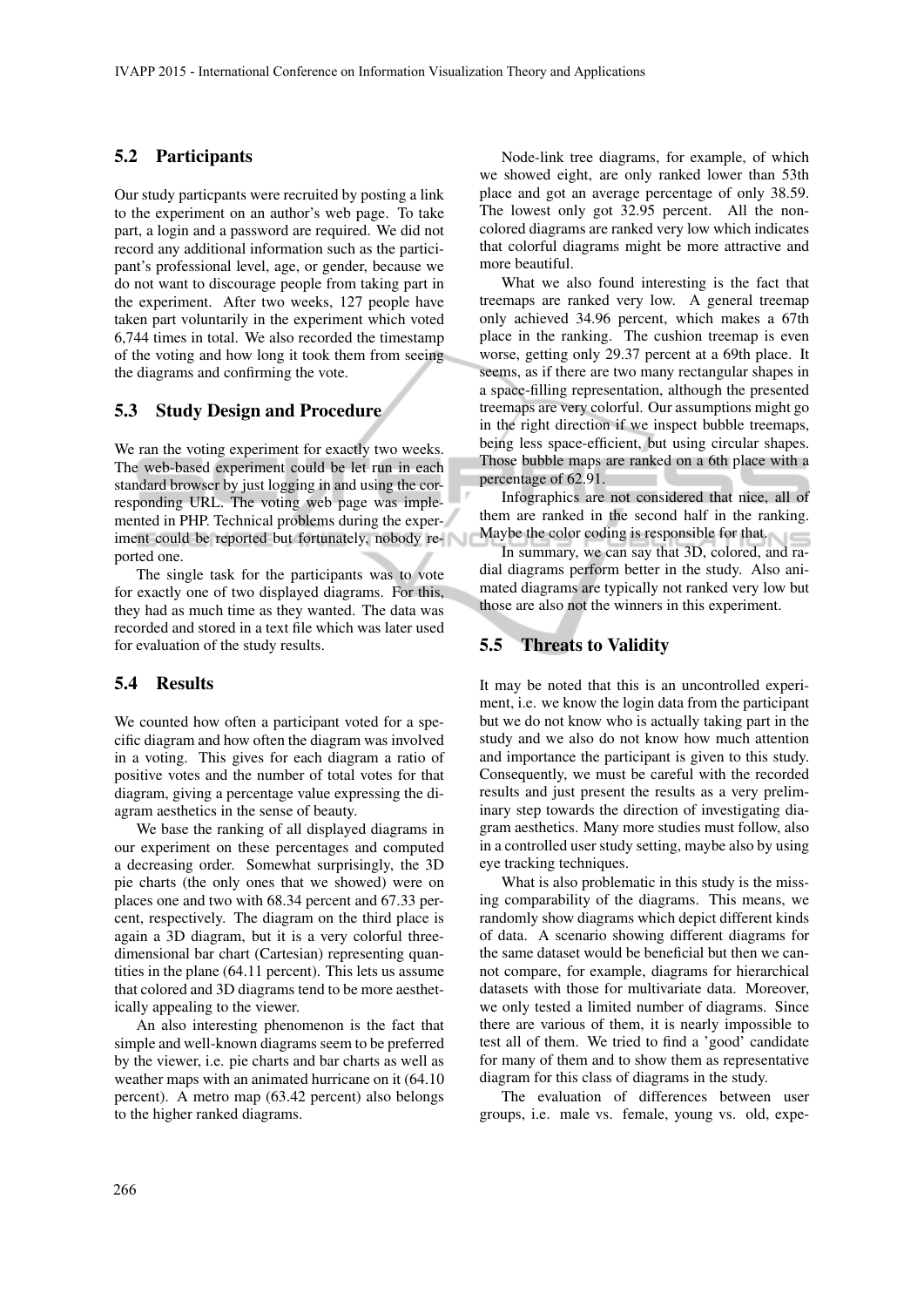#### 5.2 Participants

Our study particpants were recruited by posting a link to the experiment on an author's web page. To take part, a login and a password are required. We did not record any additional information such as the participant's professional level, age, or gender, because we do not want to discourage people from taking part in the experiment. After two weeks, 127 people have taken part voluntarily in the experiment which voted 6,744 times in total. We also recorded the timestamp of the voting and how long it took them from seeing the diagrams and confirming the vote.

#### 5.3 Study Design and Procedure

We ran the voting experiment for exactly two weeks. The web-based experiment could be let run in each standard browser by just logging in and using the corresponding URL. The voting web page was implemented in PHP. Technical problems during the experiment could be reported but fortunately, nobody reported one.

The single task for the participants was to vote for exactly one of two displayed diagrams. For this, they had as much time as they wanted. The data was recorded and stored in a text file which was later used for evaluation of the study results.

#### 5.4 Results

We counted how often a participant voted for a specific diagram and how often the diagram was involved in a voting. This gives for each diagram a ratio of positive votes and the number of total votes for that diagram, giving a percentage value expressing the diagram aesthetics in the sense of beauty.

We base the ranking of all displayed diagrams in our experiment on these percentages and computed a decreasing order. Somewhat surprisingly, the 3D pie charts (the only ones that we showed) were on places one and two with 68.34 percent and 67.33 percent, respectively. The diagram on the third place is again a 3D diagram, but it is a very colorful threedimensional bar chart (Cartesian) representing quantities in the plane (64.11 percent). This lets us assume that colored and 3D diagrams tend to be more aesthetically appealing to the viewer.

An also interesting phenomenon is the fact that simple and well-known diagrams seem to be preferred by the viewer, i.e. pie charts and bar charts as well as weather maps with an animated hurricane on it (64.10 percent). A metro map (63.42 percent) also belongs to the higher ranked diagrams.

Node-link tree diagrams, for example, of which we showed eight, are only ranked lower than 53th place and got an average percentage of only 38.59. The lowest only got 32.95 percent. All the noncolored diagrams are ranked very low which indicates that colorful diagrams might be more attractive and more beautiful.

What we also found interesting is the fact that treemaps are ranked very low. A general treemap only achieved 34.96 percent, which makes a 67th place in the ranking. The cushion treemap is even worse, getting only 29.37 percent at a 69th place. It seems, as if there are two many rectangular shapes in a space-filling representation, although the presented treemaps are very colorful. Our assumptions might go in the right direction if we inspect bubble treemaps, being less space-efficient, but using circular shapes. Those bubble maps are ranked on a 6th place with a percentage of 62.91.

Infographics are not considered that nice, all of them are ranked in the second half in the ranking. Maybe the color coding is responsible for that.

In summary, we can say that 3D, colored, and radial diagrams perform better in the study. Also animated diagrams are typically not ranked very low but those are also not the winners in this experiment.

#### 5.5 Threats to Validity

It may be noted that this is an uncontrolled experiment, i.e. we know the login data from the participant but we do not know who is actually taking part in the study and we also do not know how much attention and importance the participant is given to this study. Consequently, we must be careful with the recorded results and just present the results as a very preliminary step towards the direction of investigating diagram aesthetics. Many more studies must follow, also in a controlled user study setting, maybe also by using eye tracking techniques.

What is also problematic in this study is the missing comparability of the diagrams. This means, we randomly show diagrams which depict different kinds of data. A scenario showing different diagrams for the same dataset would be beneficial but then we cannot compare, for example, diagrams for hierarchical datasets with those for multivariate data. Moreover, we only tested a limited number of diagrams. Since there are various of them, it is nearly impossible to test all of them. We tried to find a 'good' candidate for many of them and to show them as representative diagram for this class of diagrams in the study.

The evaluation of differences between user groups, i.e. male vs. female, young vs. old, expe